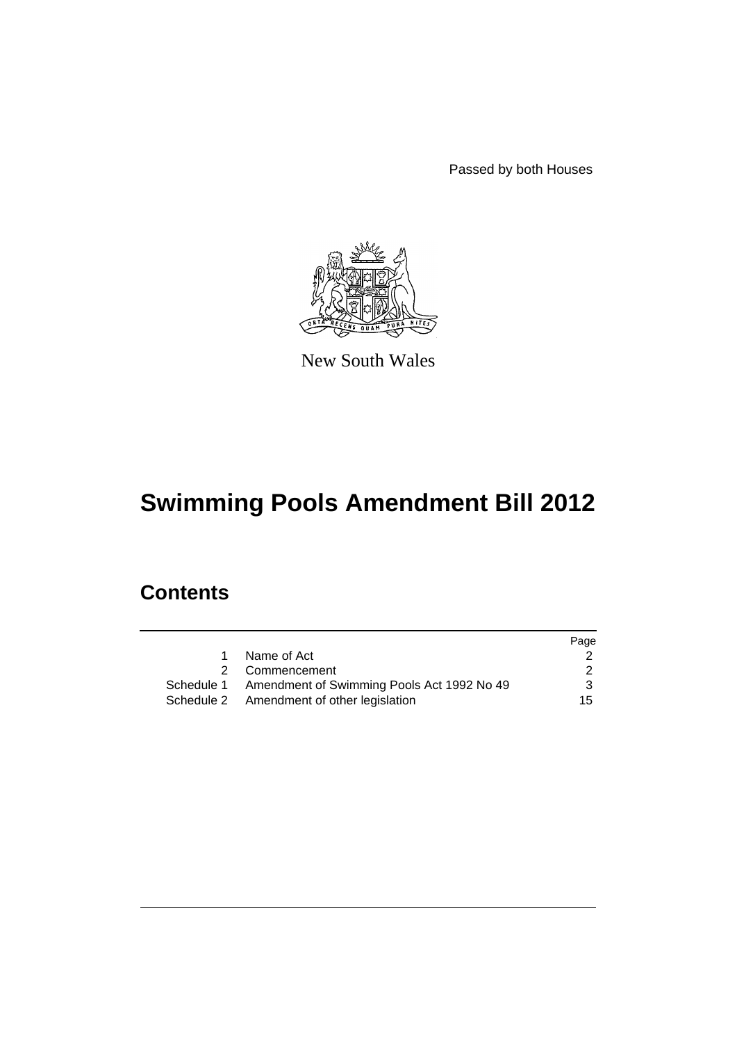Passed by both Houses



New South Wales

# **Swimming Pools Amendment Bill 2012**

## **Contents**

|                                                       | Page |
|-------------------------------------------------------|------|
| Name of Act                                           |      |
| 2 Commencement                                        | 2    |
| Schedule 1 Amendment of Swimming Pools Act 1992 No 49 | 3    |
| Schedule 2 Amendment of other legislation             | 15   |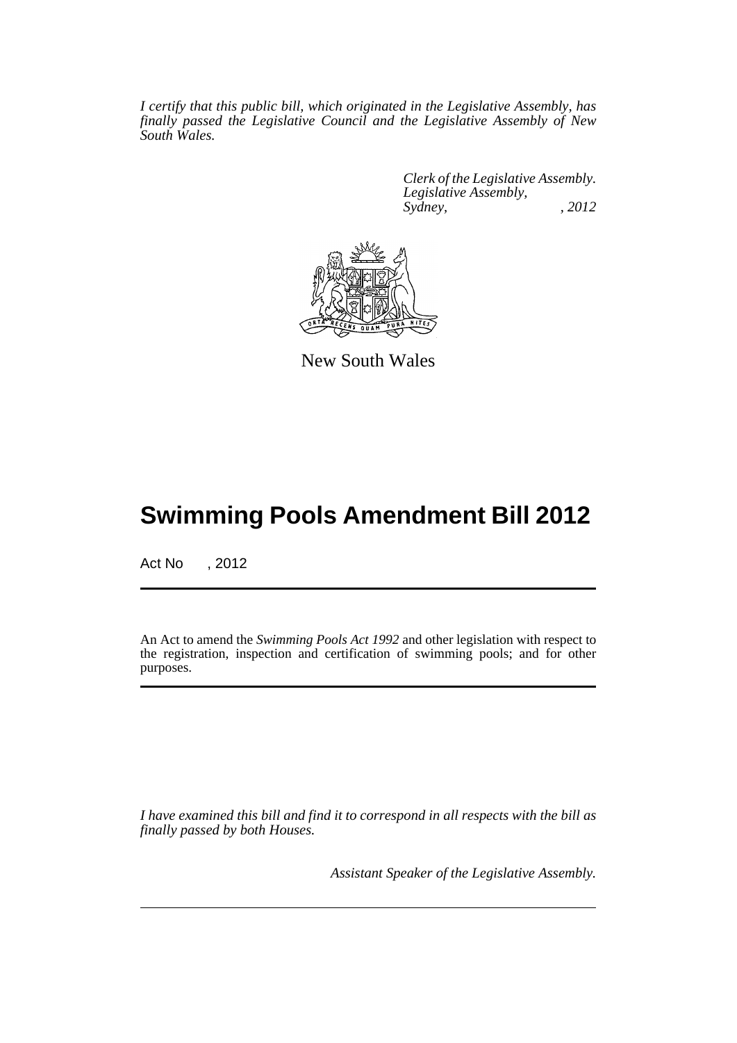*I certify that this public bill, which originated in the Legislative Assembly, has finally passed the Legislative Council and the Legislative Assembly of New South Wales.*

> *Clerk of the Legislative Assembly. Legislative Assembly, Sydney, , 2012*



New South Wales

## **Swimming Pools Amendment Bill 2012**

Act No , 2012

An Act to amend the *Swimming Pools Act 1992* and other legislation with respect to the registration, inspection and certification of swimming pools; and for other purposes.

*I have examined this bill and find it to correspond in all respects with the bill as finally passed by both Houses.*

*Assistant Speaker of the Legislative Assembly.*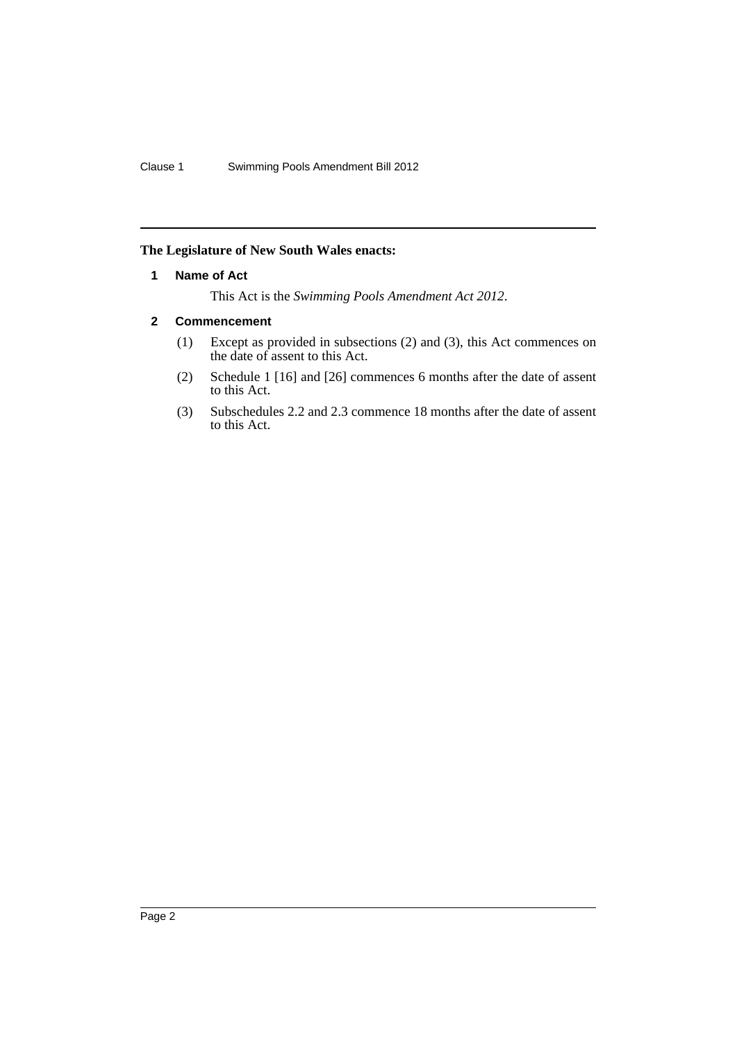#### <span id="page-3-0"></span>**The Legislature of New South Wales enacts:**

#### **1 Name of Act**

This Act is the *Swimming Pools Amendment Act 2012*.

#### <span id="page-3-1"></span>**2 Commencement**

- (1) Except as provided in subsections (2) and (3), this Act commences on the date of assent to this Act.
- (2) Schedule 1 [16] and [26] commences 6 months after the date of assent to this Act.
- (3) Subschedules 2.2 and 2.3 commence 18 months after the date of assent to this Act.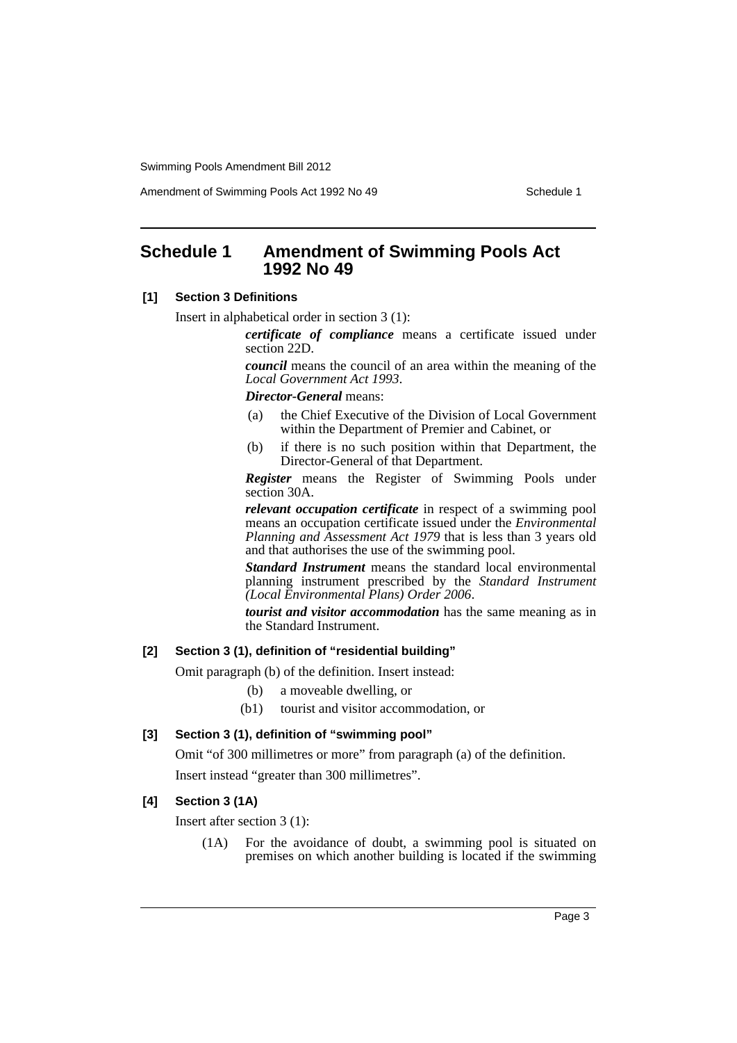Amendment of Swimming Pools Act 1992 No 49 Schedule 1

### <span id="page-4-0"></span>**Schedule 1 Amendment of Swimming Pools Act 1992 No 49**

#### **[1] Section 3 Definitions**

Insert in alphabetical order in section 3 (1):

*certificate of compliance* means a certificate issued under section 22D.

*council* means the council of an area within the meaning of the *Local Government Act 1993*.

#### *Director-General* means:

- (a) the Chief Executive of the Division of Local Government within the Department of Premier and Cabinet, or
- (b) if there is no such position within that Department, the Director-General of that Department.

*Register* means the Register of Swimming Pools under section 30A.

*relevant occupation certificate* in respect of a swimming pool means an occupation certificate issued under the *Environmental Planning and Assessment Act 1979* that is less than 3 years old and that authorises the use of the swimming pool.

*Standard Instrument* means the standard local environmental planning instrument prescribed by the *Standard Instrument (Local Environmental Plans) Order 2006*.

*tourist and visitor accommodation* has the same meaning as in the Standard Instrument.

#### **[2] Section 3 (1), definition of "residential building"**

Omit paragraph (b) of the definition. Insert instead:

(b) a moveable dwelling, or

(b1) tourist and visitor accommodation, or

#### **[3] Section 3 (1), definition of "swimming pool"**

Omit "of 300 millimetres or more" from paragraph (a) of the definition.

Insert instead "greater than 300 millimetres".

#### **[4] Section 3 (1A)**

Insert after section 3 (1):

(1A) For the avoidance of doubt, a swimming pool is situated on premises on which another building is located if the swimming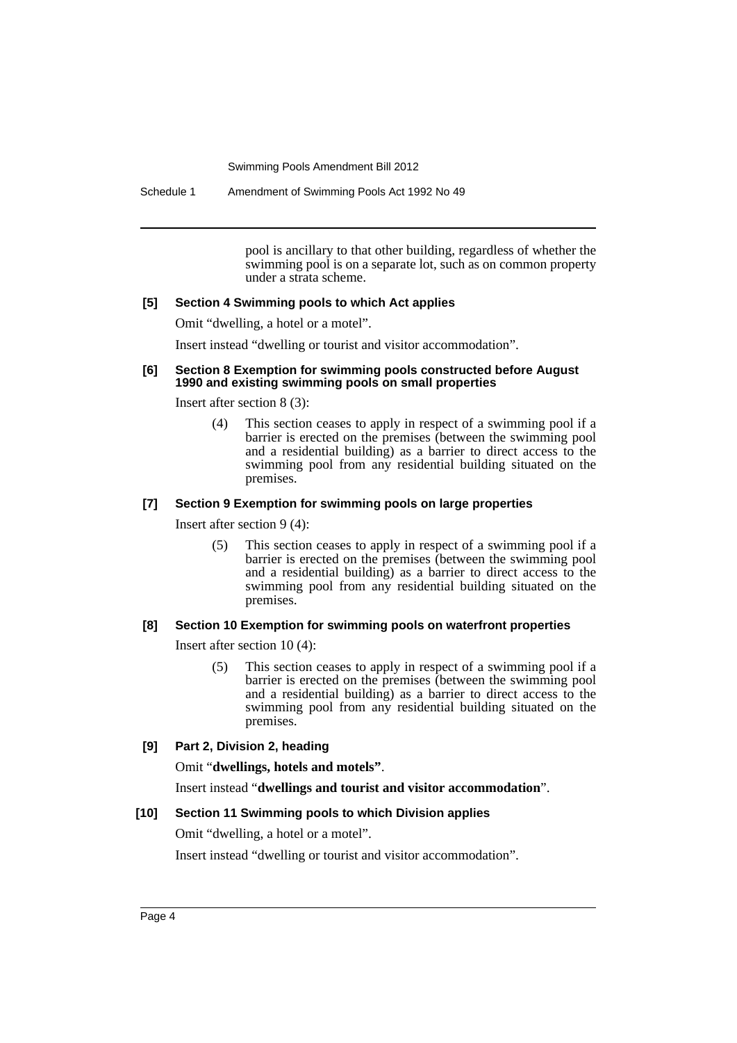Schedule 1 Amendment of Swimming Pools Act 1992 No 49

pool is ancillary to that other building, regardless of whether the swimming pool is on a separate lot, such as on common property under a strata scheme.

#### **[5] Section 4 Swimming pools to which Act applies**

Omit "dwelling, a hotel or a motel".

Insert instead "dwelling or tourist and visitor accommodation".

#### **[6] Section 8 Exemption for swimming pools constructed before August 1990 and existing swimming pools on small properties**

Insert after section 8 (3):

(4) This section ceases to apply in respect of a swimming pool if a barrier is erected on the premises (between the swimming pool and a residential building) as a barrier to direct access to the swimming pool from any residential building situated on the premises.

#### **[7] Section 9 Exemption for swimming pools on large properties**

Insert after section 9 (4):

(5) This section ceases to apply in respect of a swimming pool if a barrier is erected on the premises (between the swimming pool and a residential building) as a barrier to direct access to the swimming pool from any residential building situated on the premises.

#### **[8] Section 10 Exemption for swimming pools on waterfront properties**

Insert after section 10 (4):

(5) This section ceases to apply in respect of a swimming pool if a barrier is erected on the premises (between the swimming pool and a residential building) as a barrier to direct access to the swimming pool from any residential building situated on the premises.

#### **[9] Part 2, Division 2, heading**

Omit "**dwellings, hotels and motels"**.

Insert instead "**dwellings and tourist and visitor accommodation**".

#### **[10] Section 11 Swimming pools to which Division applies**

Omit "dwelling, a hotel or a motel".

Insert instead "dwelling or tourist and visitor accommodation".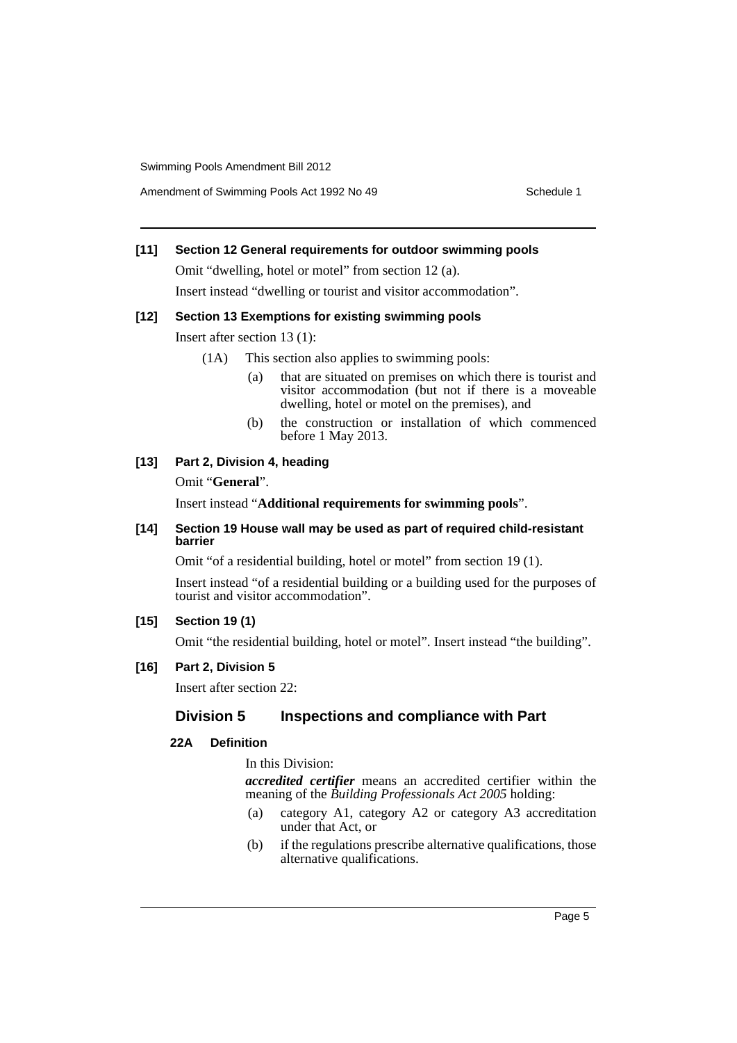Amendment of Swimming Pools Act 1992 No 49 Schedule 1

#### **[11] Section 12 General requirements for outdoor swimming pools**

Omit "dwelling, hotel or motel" from section 12 (a). Insert instead "dwelling or tourist and visitor accommodation".

#### **[12] Section 13 Exemptions for existing swimming pools**

Insert after section 13 (1):

- (1A) This section also applies to swimming pools:
	- (a) that are situated on premises on which there is tourist and visitor accommodation (but not if there is a moveable dwelling, hotel or motel on the premises), and
	- (b) the construction or installation of which commenced before 1 May 2013.

#### **[13] Part 2, Division 4, heading**

Omit "**General**".

Insert instead "**Additional requirements for swimming pools**".

#### **[14] Section 19 House wall may be used as part of required child-resistant barrier**

Omit "of a residential building, hotel or motel" from section 19 (1).

Insert instead "of a residential building or a building used for the purposes of tourist and visitor accommodation".

#### **[15] Section 19 (1)**

Omit "the residential building, hotel or motel". Insert instead "the building".

#### **[16] Part 2, Division 5**

Insert after section 22:

#### **Division 5 Inspections and compliance with Part**

#### **22A Definition**

In this Division:

*accredited certifier* means an accredited certifier within the meaning of the *Building Professionals Act 2005* holding:

- (a) category A1, category A2 or category A3 accreditation under that Act, or
- (b) if the regulations prescribe alternative qualifications, those alternative qualifications.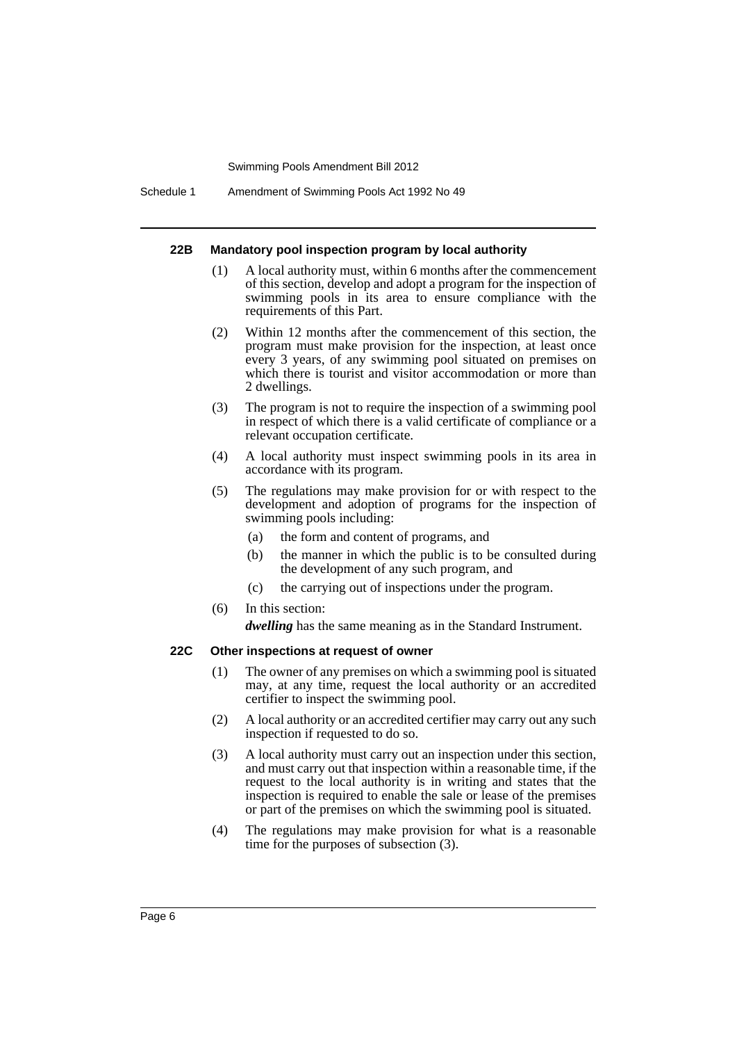Schedule 1 Amendment of Swimming Pools Act 1992 No 49

#### **22B Mandatory pool inspection program by local authority**

- (1) A local authority must, within 6 months after the commencement of this section, develop and adopt a program for the inspection of swimming pools in its area to ensure compliance with the requirements of this Part.
- (2) Within 12 months after the commencement of this section, the program must make provision for the inspection, at least once every 3 years, of any swimming pool situated on premises on which there is tourist and visitor accommodation or more than 2 dwellings.
- (3) The program is not to require the inspection of a swimming pool in respect of which there is a valid certificate of compliance or a relevant occupation certificate.
- (4) A local authority must inspect swimming pools in its area in accordance with its program.
- (5) The regulations may make provision for or with respect to the development and adoption of programs for the inspection of swimming pools including:
	- (a) the form and content of programs, and
	- (b) the manner in which the public is to be consulted during the development of any such program, and
	- (c) the carrying out of inspections under the program.
- (6) In this section:

*dwelling* has the same meaning as in the Standard Instrument.

#### **22C Other inspections at request of owner**

- (1) The owner of any premises on which a swimming pool is situated may, at any time, request the local authority or an accredited certifier to inspect the swimming pool.
- (2) A local authority or an accredited certifier may carry out any such inspection if requested to do so.
- (3) A local authority must carry out an inspection under this section, and must carry out that inspection within a reasonable time, if the request to the local authority is in writing and states that the inspection is required to enable the sale or lease of the premises or part of the premises on which the swimming pool is situated.
- (4) The regulations may make provision for what is a reasonable time for the purposes of subsection (3).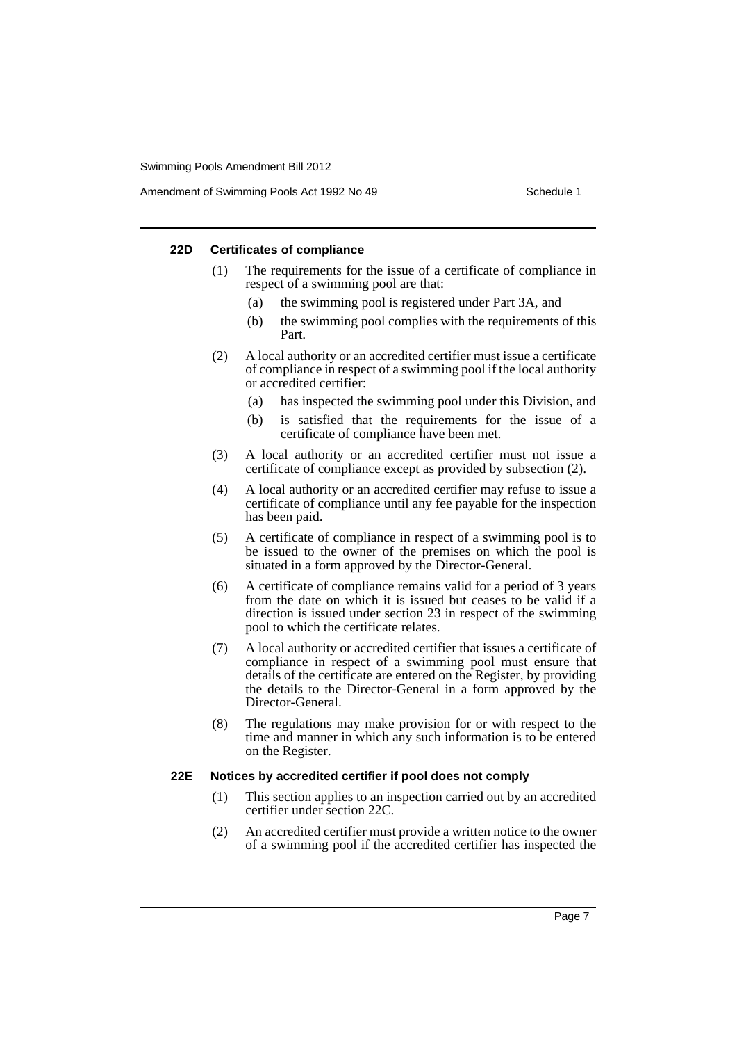Amendment of Swimming Pools Act 1992 No 49 Schedule 1

#### **22D Certificates of compliance**

- (1) The requirements for the issue of a certificate of compliance in respect of a swimming pool are that:
	- (a) the swimming pool is registered under Part 3A, and
	- (b) the swimming pool complies with the requirements of this Part.
- (2) A local authority or an accredited certifier must issue a certificate of compliance in respect of a swimming pool if the local authority or accredited certifier:
	- (a) has inspected the swimming pool under this Division, and
	- (b) is satisfied that the requirements for the issue of a certificate of compliance have been met.
- (3) A local authority or an accredited certifier must not issue a certificate of compliance except as provided by subsection (2).
- (4) A local authority or an accredited certifier may refuse to issue a certificate of compliance until any fee payable for the inspection has been paid.
- (5) A certificate of compliance in respect of a swimming pool is to be issued to the owner of the premises on which the pool is situated in a form approved by the Director-General.
- (6) A certificate of compliance remains valid for a period of 3 years from the date on which it is issued but ceases to be valid if a direction is issued under section 23 in respect of the swimming pool to which the certificate relates.
- (7) A local authority or accredited certifier that issues a certificate of compliance in respect of a swimming pool must ensure that details of the certificate are entered on the Register, by providing the details to the Director-General in a form approved by the Director-General.
- (8) The regulations may make provision for or with respect to the time and manner in which any such information is to be entered on the Register.

#### **22E Notices by accredited certifier if pool does not comply**

- (1) This section applies to an inspection carried out by an accredited certifier under section 22C.
- (2) An accredited certifier must provide a written notice to the owner of a swimming pool if the accredited certifier has inspected the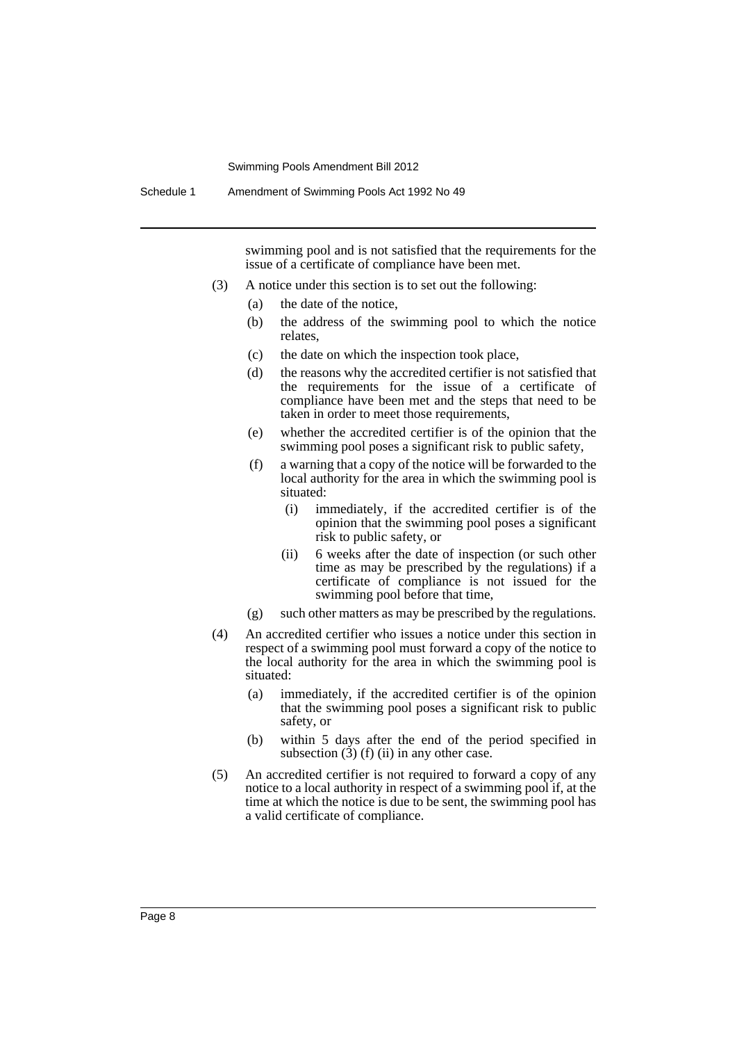swimming pool and is not satisfied that the requirements for the issue of a certificate of compliance have been met.

- (3) A notice under this section is to set out the following:
	- (a) the date of the notice,
	- (b) the address of the swimming pool to which the notice relates,
	- (c) the date on which the inspection took place,
	- (d) the reasons why the accredited certifier is not satisfied that the requirements for the issue of a certificate of compliance have been met and the steps that need to be taken in order to meet those requirements,
	- (e) whether the accredited certifier is of the opinion that the swimming pool poses a significant risk to public safety,
	- (f) a warning that a copy of the notice will be forwarded to the local authority for the area in which the swimming pool is situated:
		- (i) immediately, if the accredited certifier is of the opinion that the swimming pool poses a significant risk to public safety, or
		- (ii) 6 weeks after the date of inspection (or such other time as may be prescribed by the regulations) if a certificate of compliance is not issued for the swimming pool before that time,
	- (g) such other matters as may be prescribed by the regulations.
- (4) An accredited certifier who issues a notice under this section in respect of a swimming pool must forward a copy of the notice to the local authority for the area in which the swimming pool is situated:
	- (a) immediately, if the accredited certifier is of the opinion that the swimming pool poses a significant risk to public safety, or
	- (b) within 5 days after the end of the period specified in subsection  $(3)$  (f) (ii) in any other case.
- (5) An accredited certifier is not required to forward a copy of any notice to a local authority in respect of a swimming pool if, at the time at which the notice is due to be sent, the swimming pool has a valid certificate of compliance.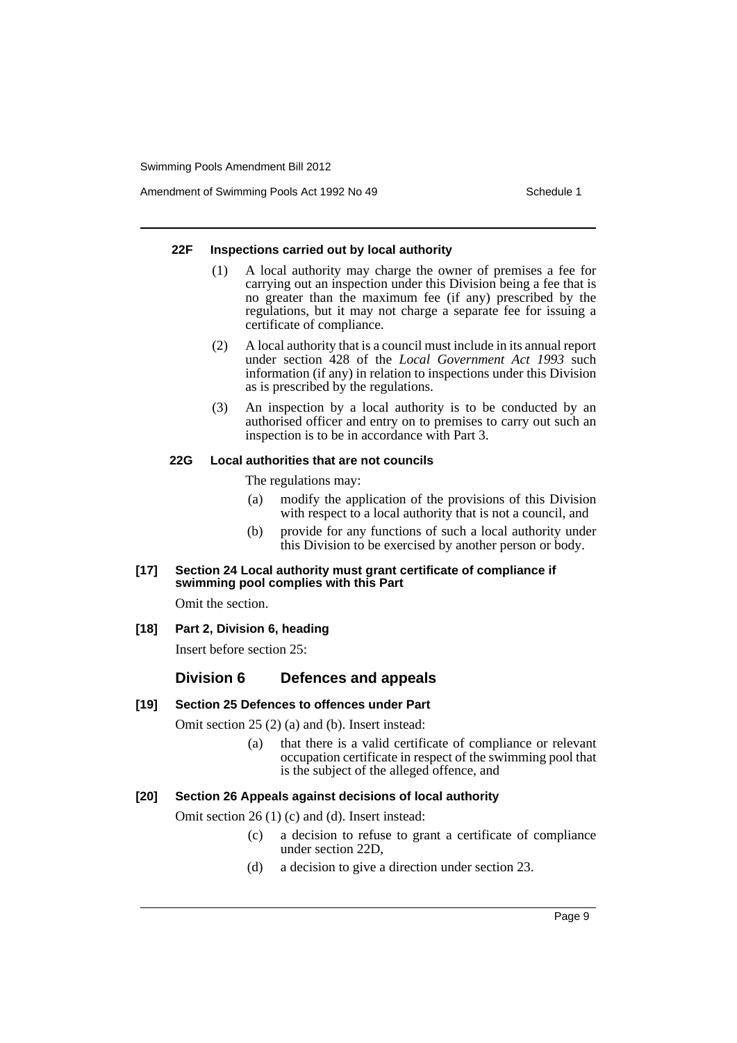Amendment of Swimming Pools Act 1992 No 49 Schedule 1

#### **22F Inspections carried out by local authority**

- (1) A local authority may charge the owner of premises a fee for carrying out an inspection under this Division being a fee that is no greater than the maximum fee (if any) prescribed by the regulations, but it may not charge a separate fee for issuing a certificate of compliance.
- (2) A local authority that is a council must include in its annual report under section 428 of the *Local Government Act 1993* such information (if any) in relation to inspections under this Division as is prescribed by the regulations.
- (3) An inspection by a local authority is to be conducted by an authorised officer and entry on to premises to carry out such an inspection is to be in accordance with Part 3.

#### **22G Local authorities that are not councils**

The regulations may:

- (a) modify the application of the provisions of this Division with respect to a local authority that is not a council, and
- (b) provide for any functions of such a local authority under this Division to be exercised by another person or body.

#### **[17] Section 24 Local authority must grant certificate of compliance if swimming pool complies with this Part**

Omit the section.

**[18] Part 2, Division 6, heading**

Insert before section 25:

#### **Division 6 Defences and appeals**

#### **[19] Section 25 Defences to offences under Part**

Omit section 25 (2) (a) and (b). Insert instead:

(a) that there is a valid certificate of compliance or relevant occupation certificate in respect of the swimming pool that is the subject of the alleged offence, and

#### **[20] Section 26 Appeals against decisions of local authority**

Omit section 26 (1) (c) and (d). Insert instead:

- (c) a decision to refuse to grant a certificate of compliance under section 22D,
- (d) a decision to give a direction under section 23.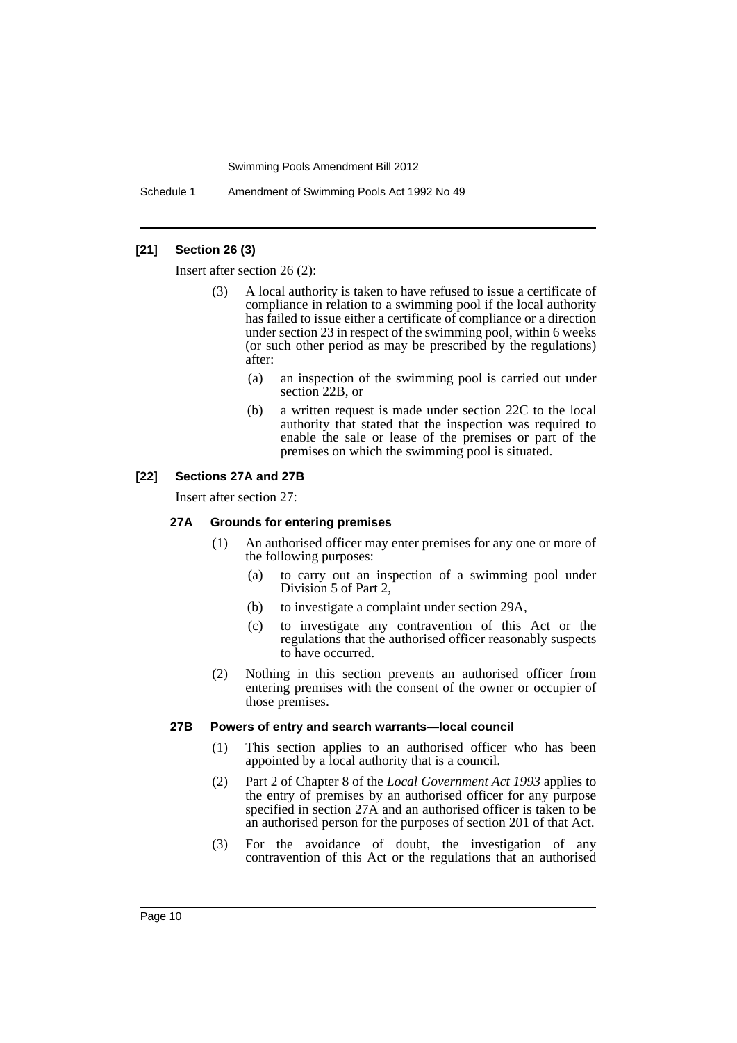Schedule 1 Amendment of Swimming Pools Act 1992 No 49

#### **[21] Section 26 (3)**

Insert after section 26 (2):

- (3) A local authority is taken to have refused to issue a certificate of compliance in relation to a swimming pool if the local authority has failed to issue either a certificate of compliance or a direction under section 23 in respect of the swimming pool, within 6 weeks (or such other period as may be prescribed by the regulations) after:
	- (a) an inspection of the swimming pool is carried out under section 22B, or
	- (b) a written request is made under section 22C to the local authority that stated that the inspection was required to enable the sale or lease of the premises or part of the premises on which the swimming pool is situated.

#### **[22] Sections 27A and 27B**

Insert after section 27:

#### **27A Grounds for entering premises**

- (1) An authorised officer may enter premises for any one or more of the following purposes:
	- (a) to carry out an inspection of a swimming pool under Division 5 of Part 2,
	- (b) to investigate a complaint under section 29A,
	- (c) to investigate any contravention of this Act or the regulations that the authorised officer reasonably suspects to have occurred.
- (2) Nothing in this section prevents an authorised officer from entering premises with the consent of the owner or occupier of those premises.

#### **27B Powers of entry and search warrants—local council**

- (1) This section applies to an authorised officer who has been appointed by a local authority that is a council.
- (2) Part 2 of Chapter 8 of the *Local Government Act 1993* applies to the entry of premises by an authorised officer for any purpose specified in section 27A and an authorised officer is taken to be an authorised person for the purposes of section 201 of that Act.
- (3) For the avoidance of doubt, the investigation of any contravention of this Act or the regulations that an authorised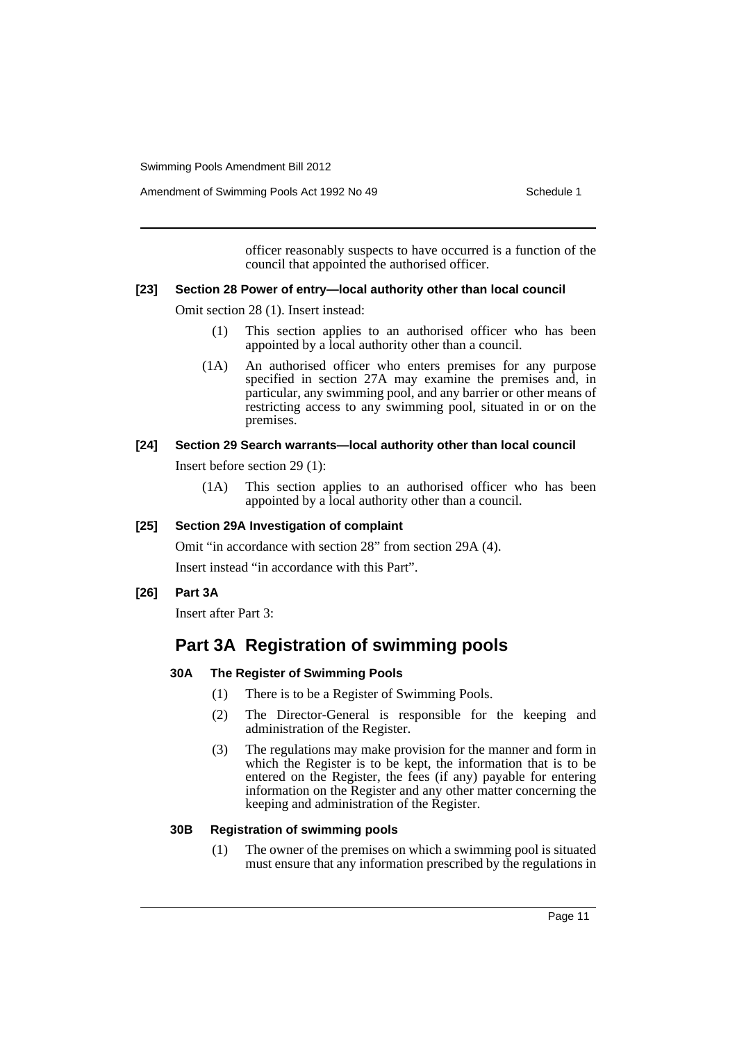Amendment of Swimming Pools Act 1992 No 49 Schedule 1

officer reasonably suspects to have occurred is a function of the council that appointed the authorised officer.

#### **[23] Section 28 Power of entry—local authority other than local council**

Omit section 28 (1). Insert instead:

- (1) This section applies to an authorised officer who has been appointed by a local authority other than a council.
- (1A) An authorised officer who enters premises for any purpose specified in section 27A may examine the premises and, in particular, any swimming pool, and any barrier or other means of restricting access to any swimming pool, situated in or on the premises.

#### **[24] Section 29 Search warrants—local authority other than local council**

Insert before section 29 (1):

(1A) This section applies to an authorised officer who has been appointed by a local authority other than a council.

#### **[25] Section 29A Investigation of complaint**

Omit "in accordance with section 28" from section 29A (4). Insert instead "in accordance with this Part".

**[26] Part 3A**

Insert after Part 3:

## **Part 3A Registration of swimming pools**

#### **30A The Register of Swimming Pools**

- (1) There is to be a Register of Swimming Pools.
- (2) The Director-General is responsible for the keeping and administration of the Register.
- (3) The regulations may make provision for the manner and form in which the Register is to be kept, the information that is to be entered on the Register, the fees (if any) payable for entering information on the Register and any other matter concerning the keeping and administration of the Register.

#### **30B Registration of swimming pools**

(1) The owner of the premises on which a swimming pool is situated must ensure that any information prescribed by the regulations in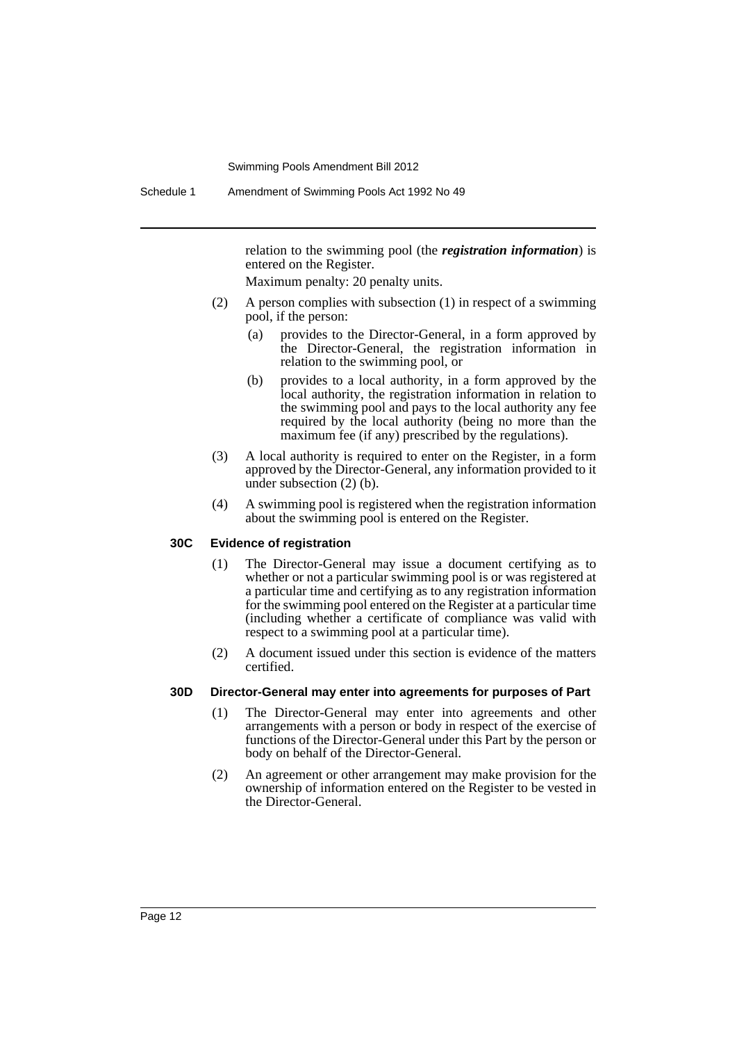relation to the swimming pool (the *registration information*) is entered on the Register.

Maximum penalty: 20 penalty units.

- (2) A person complies with subsection (1) in respect of a swimming pool, if the person:
	- (a) provides to the Director-General, in a form approved by the Director-General, the registration information in relation to the swimming pool, or
	- (b) provides to a local authority, in a form approved by the local authority, the registration information in relation to the swimming pool and pays to the local authority any fee required by the local authority (being no more than the maximum fee (if any) prescribed by the regulations).
- (3) A local authority is required to enter on the Register, in a form approved by the Director-General, any information provided to it under subsection (2) (b).
- (4) A swimming pool is registered when the registration information about the swimming pool is entered on the Register.

#### **30C Evidence of registration**

- (1) The Director-General may issue a document certifying as to whether or not a particular swimming pool is or was registered at a particular time and certifying as to any registration information for the swimming pool entered on the Register at a particular time (including whether a certificate of compliance was valid with respect to a swimming pool at a particular time).
- (2) A document issued under this section is evidence of the matters certified.

#### **30D Director-General may enter into agreements for purposes of Part**

- (1) The Director-General may enter into agreements and other arrangements with a person or body in respect of the exercise of functions of the Director-General under this Part by the person or body on behalf of the Director-General.
- (2) An agreement or other arrangement may make provision for the ownership of information entered on the Register to be vested in the Director-General.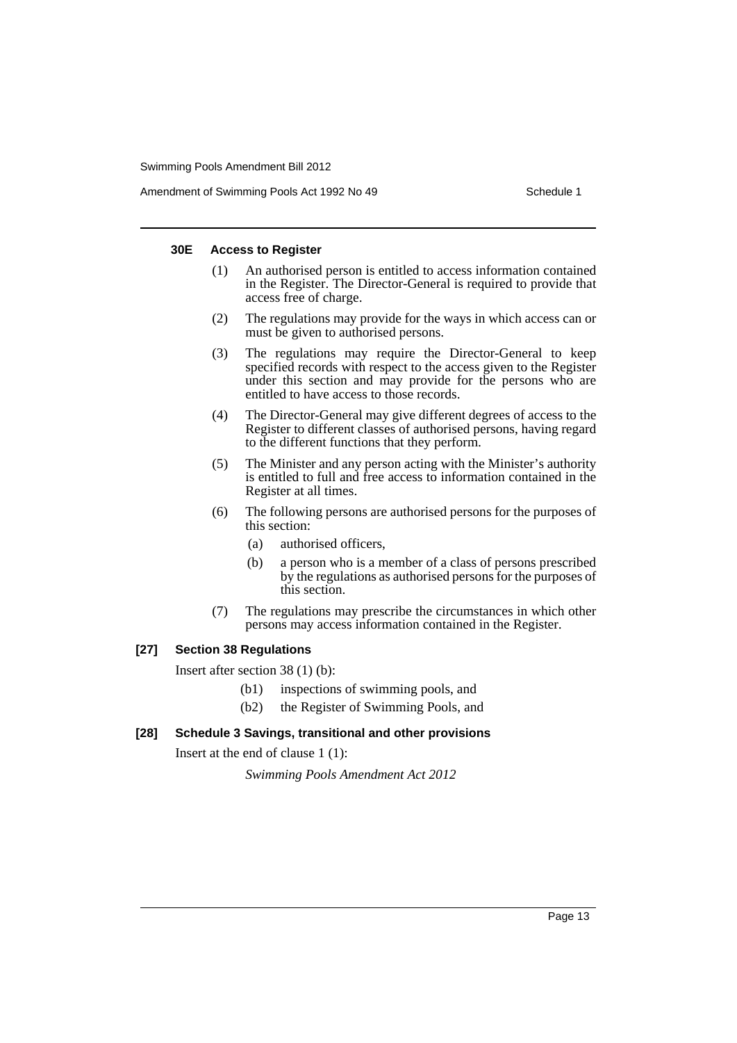Amendment of Swimming Pools Act 1992 No 49 Schedule 1

#### **30E Access to Register**

- (1) An authorised person is entitled to access information contained in the Register. The Director-General is required to provide that access free of charge.
- (2) The regulations may provide for the ways in which access can or must be given to authorised persons.
- (3) The regulations may require the Director-General to keep specified records with respect to the access given to the Register under this section and may provide for the persons who are entitled to have access to those records.
- (4) The Director-General may give different degrees of access to the Register to different classes of authorised persons, having regard to the different functions that they perform.
- (5) The Minister and any person acting with the Minister's authority is entitled to full and free access to information contained in the Register at all times.
- (6) The following persons are authorised persons for the purposes of this section:
	- (a) authorised officers,
	- (b) a person who is a member of a class of persons prescribed by the regulations as authorised persons for the purposes of this section.
- (7) The regulations may prescribe the circumstances in which other persons may access information contained in the Register.

#### **[27] Section 38 Regulations**

Insert after section 38 (1) (b):

- (b1) inspections of swimming pools, and
- (b2) the Register of Swimming Pools, and

#### **[28] Schedule 3 Savings, transitional and other provisions**

Insert at the end of clause 1 (1):

*Swimming Pools Amendment Act 2012*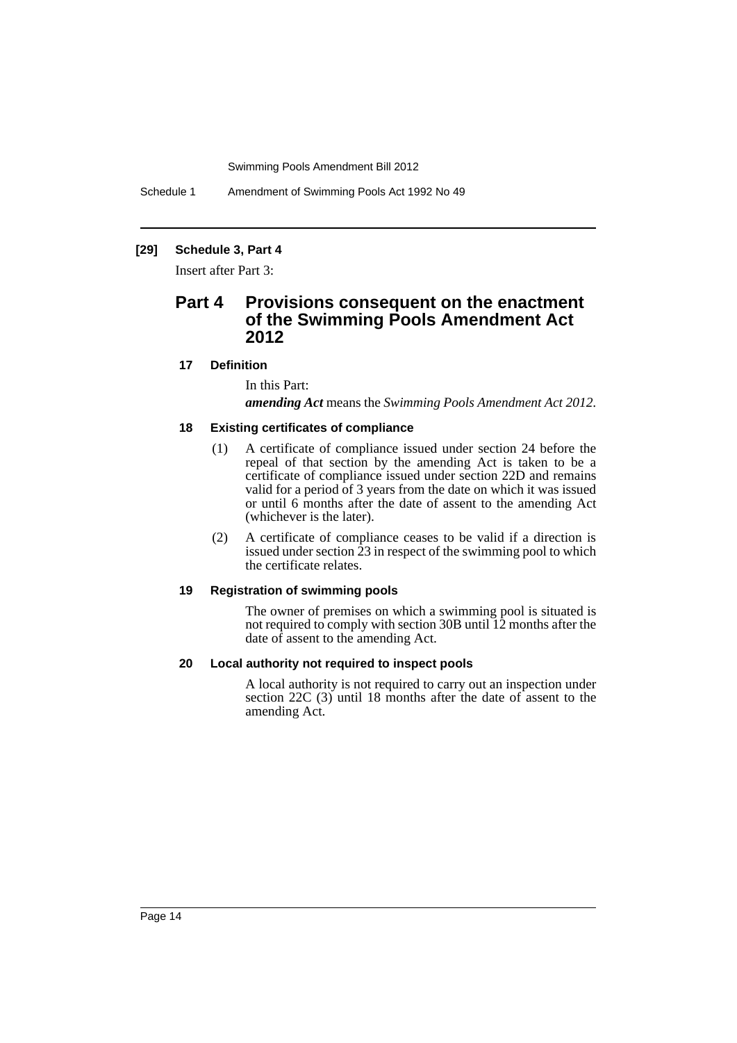Schedule 1 Amendment of Swimming Pools Act 1992 No 49

#### **[29] Schedule 3, Part 4**

Insert after Part 3:

### **Part 4 Provisions consequent on the enactment of the Swimming Pools Amendment Act 2012**

#### **17 Definition**

In this Part:

*amending Act* means the *Swimming Pools Amendment Act 2012*.

#### **18 Existing certificates of compliance**

- (1) A certificate of compliance issued under section 24 before the repeal of that section by the amending Act is taken to be a certificate of compliance issued under section 22D and remains valid for a period of 3 years from the date on which it was issued or until 6 months after the date of assent to the amending Act (whichever is the later).
- (2) A certificate of compliance ceases to be valid if a direction is issued under section  $\tilde{2}3$  in respect of the swimming pool to which the certificate relates.

#### **19 Registration of swimming pools**

The owner of premises on which a swimming pool is situated is not required to comply with section 30B until 12 months after the date of assent to the amending Act.

#### **20 Local authority not required to inspect pools**

A local authority is not required to carry out an inspection under section 22C (3) until 18 months after the date of assent to the amending Act.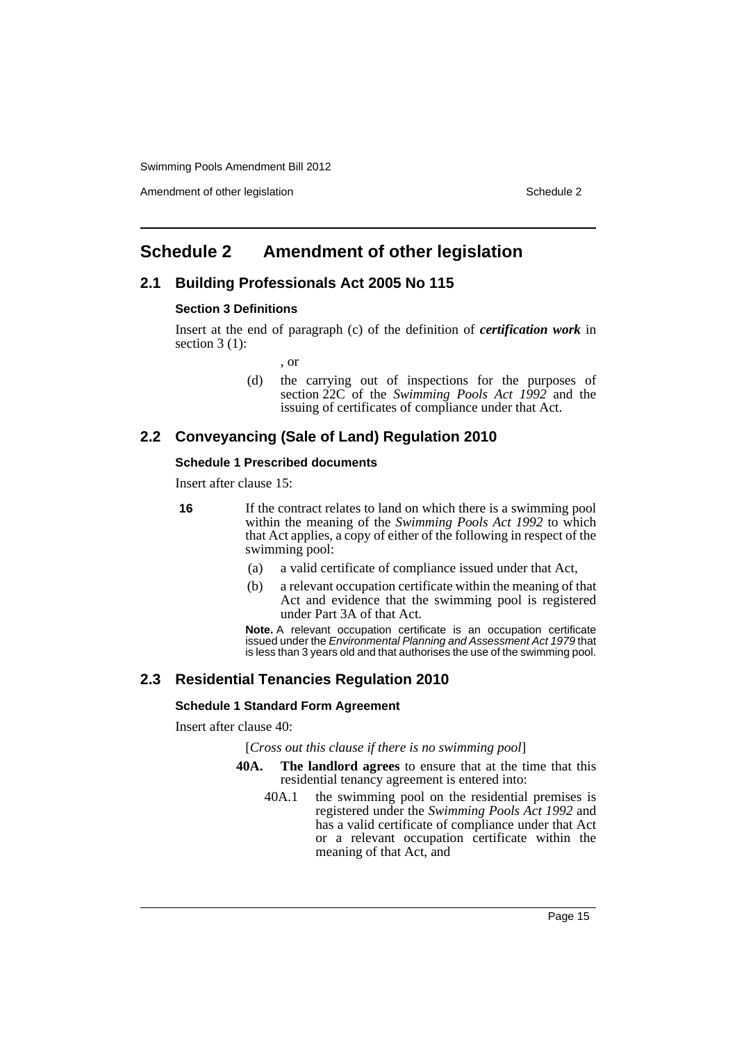Amendment of other legislation Schedule 2

## <span id="page-16-0"></span>**Schedule 2 Amendment of other legislation**

#### **2.1 Building Professionals Act 2005 No 115**

#### **Section 3 Definitions**

Insert at the end of paragraph (c) of the definition of *certification work* in section  $3(1)$ :

, or

(d) the carrying out of inspections for the purposes of section 22C of the *Swimming Pools Act 1992* and the issuing of certificates of compliance under that Act.

#### **2.2 Conveyancing (Sale of Land) Regulation 2010**

#### **Schedule 1 Prescribed documents**

Insert after clause 15:

**16** If the contract relates to land on which there is a swimming pool within the meaning of the *Swimming Pools Act 1992* to which that Act applies, a copy of either of the following in respect of the swimming pool:

- (a) a valid certificate of compliance issued under that Act,
- (b) a relevant occupation certificate within the meaning of that Act and evidence that the swimming pool is registered under Part 3A of that Act.

**Note.** A relevant occupation certificate is an occupation certificate issued under the *Environmental Planning and Assessment Act 1979* that is less than 3 years old and that authorises the use of the swimming pool.

#### **2.3 Residential Tenancies Regulation 2010**

#### **Schedule 1 Standard Form Agreement**

Insert after clause 40:

[*Cross out this clause if there is no swimming pool*]

- **40A. The landlord agrees** to ensure that at the time that this residential tenancy agreement is entered into:
	- 40A.1 the swimming pool on the residential premises is registered under the *Swimming Pools Act 1992* and has a valid certificate of compliance under that Act or a relevant occupation certificate within the meaning of that Act, and